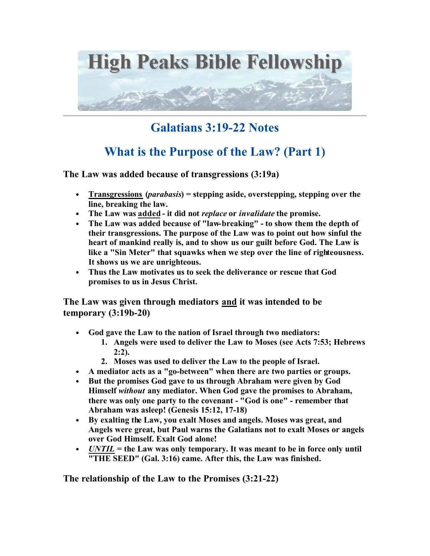

## **Galatians 3:19-22 Notes**

## **What is the Purpose of the Law? (Part 1)**

**The Law was added because of transgressions (3:19a)**

- **Transgressions (***parabasis***) = stepping aside, overstepping, stepping over the line, breaking the law.**
- **The Law was added it did not** *replace* **or** *invalidate* **the promise.**
- **The Law was added because of "law-breaking" to show them the depth of their transgressions. The purpose of the Law was to point out how sinful the heart of mankind really is, and to show us our guilt before God. The Law is like a "Sin Meter" that squawks when we step over the line of righteousness. It shows us we are unrighteous.**
- **Thus the Law motivates us to seek the deliverance or rescue that God promises to us in Jesus Christ.**

**The Law was given through mediators and it was intended to be temporary (3:19b-20)**

- **God gave the Law to the nation of Israel through two mediators:** 
	- **1. Angels were used to deliver the Law to Moses (see Acts 7:53; Hebrews 2:2).**
	- **2. Moses was used to deliver the Law to the people of Israel.**
- **A mediator acts as a "go-between" when there are two parties or groups.**
- **But the promises God gave to us through Abraham were given by God Himself** *without* **any mediator. When God gave the promises to Abraham, there was only one party to the covenant - "God is one" - remember that Abraham was asleep! (Genesis 15:12, 17-18)**
- **By exalting the Law, you exalt Moses and angels. Moses was great, and Angels were great, but Paul warns the Galatians not to exalt Moses or angels over God Himself. Exalt God alone!**
- *UNTIL* **= the Law was only temporary. It was meant to be in force only until "THE SEED" (Gal. 3:16) came. After this, the Law was finished.**

**The relationship of the Law to the Promises (3:21-22)**